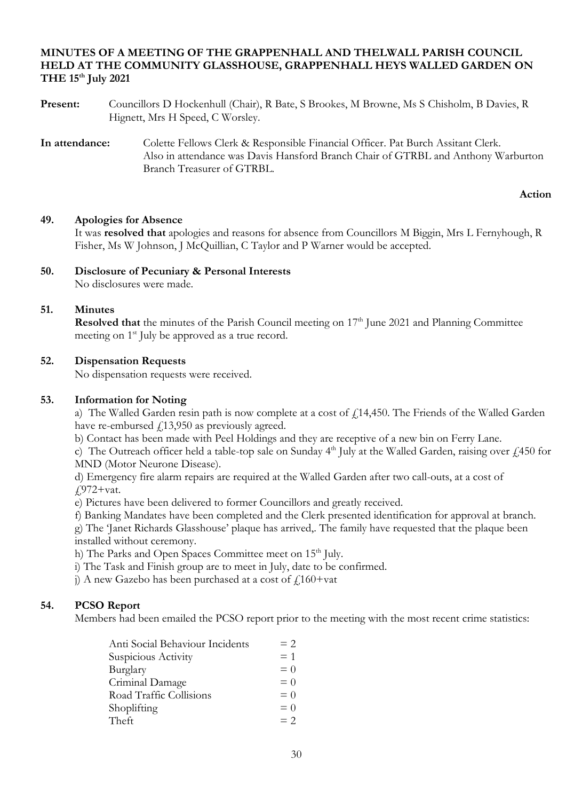# **MINUTES OF A MEETING OF THE GRAPPENHALL AND THELWALL PARISH COUNCIL HELD AT THE COMMUNITY GLASSHOUSE, GRAPPENHALL HEYS WALLED GARDEN ON THE 15 th July 2021**

**Present:** Councillors D Hockenhull (Chair), R Bate, S Brookes, M Browne, Ms S Chisholm, B Davies, R Hignett, Mrs H Speed, C Worsley.

**In attendance:** Colette Fellows Clerk & Responsible Financial Officer. Pat Burch Assitant Clerk. Also in attendance was Davis Hansford Branch Chair of GTRBL and Anthony Warburton Branch Treasurer of GTRBL.

#### **Action**

# **49. Apologies for Absence**

It was **resolved that** apologies and reasons for absence from Councillors M Biggin, Mrs L Fernyhough, R Fisher, Ms W Johnson, J McQuillian, C Taylor and P Warner would be accepted.

# **50. Disclosure of Pecuniary & Personal Interests**

No disclosures were made.

## **51. Minutes**

**Resolved that** the minutes of the Parish Council meeting on 17<sup>th</sup> June 2021 and Planning Committee meeting on 1<sup>st</sup> July be approved as a true record.

## **52. Dispensation Requests**

No dispensation requests were received.

## **53. Information for Noting**

a) The Walled Garden resin path is now complete at a cost of  $f14,450$ . The Friends of the Walled Garden have re-embursed  $\ell$ 13,950 as previously agreed.

b) Contact has been made with Peel Holdings and they are receptive of a new bin on Ferry Lane.

c) The Outreach officer held a table-top sale on Sunday  $4<sup>th</sup>$  July at the Walled Garden, raising over  $\ell$ 450 for MND (Motor Neurone Disease).

d) Emergency fire alarm repairs are required at the Walled Garden after two call-outs, at a cost of £972+vat.

e) Pictures have been delivered to former Councillors and greatly received.

f) Banking Mandates have been completed and the Clerk presented identification for approval at branch.

g) The 'Janet Richards Glasshouse' plaque has arrived,. The family have requested that the plaque been installed without ceremony.

h) The Parks and Open Spaces Committee meet on 15<sup>th</sup> July.

i) The Task and Finish group are to meet in July, date to be confirmed.

j) A new Gazebo has been purchased at a cost of  $f$ 160+vat

## **54. PCSO Report**

Members had been emailed the PCSO report prior to the meeting with the most recent crime statistics:

| $= 2$ |
|-------|
| $= 1$ |
| $= 0$ |
| $= 0$ |
| $= 0$ |
| $= 0$ |
| $= 2$ |
|       |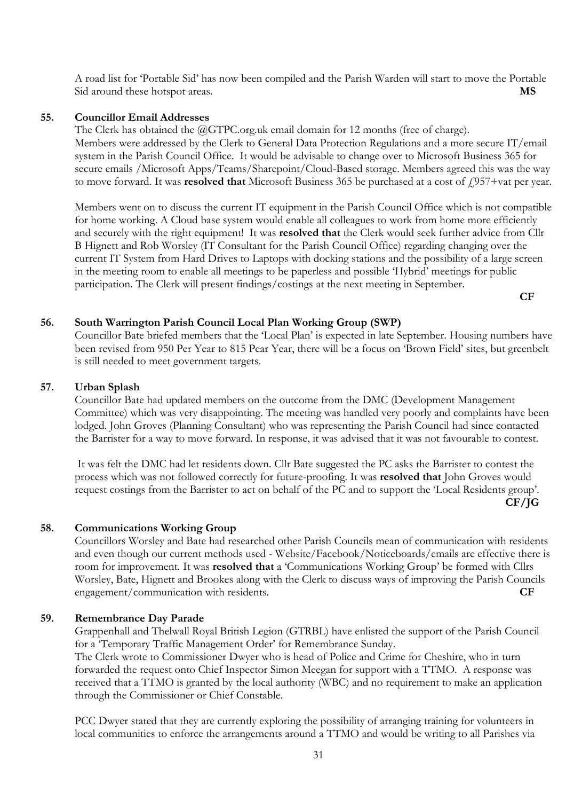A road list for 'Portable Sid' has now been compiled and the Parish Warden will start to move the Portable Sid around these hotspot areas. **MS**

#### **55. Councillor Email Addresses**

The Clerk has obtained the @GTPC.org.uk email domain for 12 months (free of charge). Members were addressed by the Clerk to General Data Protection Regulations and a more secure IT/email system in the Parish Council Office. It would be advisable to change over to Microsoft Business 365 for secure emails /Microsoft Apps/Teams/Sharepoint/Cloud-Based storage. Members agreed this was the way to move forward. It was **resolved that** Microsoft Business 365 be purchased at a cost of  $f_{1}$ 957+vat per year.

Members went on to discuss the current IT equipment in the Parish Council Office which is not compatible for home working. A Cloud base system would enable all colleagues to work from home more efficiently and securely with the right equipment! It was **resolved that** the Clerk would seek further advice from Cllr B Hignett and Rob Worsley (IT Consultant for the Parish Council Office) regarding changing over the current IT System from Hard Drives to Laptops with docking stations and the possibility of a large screen in the meeting room to enable all meetings to be paperless and possible 'Hybrid' meetings for public participation. The Clerk will present findings/costings at the next meeting in September.

**CF**

## **56. South Warrington Parish Council Local Plan Working Group (SWP)**

Councillor Bate briefed members that the 'Local Plan' is expected in late September. Housing numbers have been revised from 950 Per Year to 815 Pear Year, there will be a focus on 'Brown Field' sites, but greenbelt is still needed to meet government targets.

#### **57. Urban Splash**

Councillor Bate had updated members on the outcome from the DMC (Development Management Committee) which was very disappointing. The meeting was handled very poorly and complaints have been lodged. John Groves (Planning Consultant) who was representing the Parish Council had since contacted the Barrister for a way to move forward. In response, it was advised that it was not favourable to contest.

It was felt the DMC had let residents down. Cllr Bate suggested the PC asks the Barrister to contest the process which was not followed correctly for future-proofing. It was **resolved that** John Groves would request costings from the Barrister to act on behalf of the PC and to support the 'Local Residents group'. **CF/JG**

#### **58. Communications Working Group**

Councillors Worsley and Bate had researched other Parish Councils mean of communication with residents and even though our current methods used - Website/Facebook/Noticeboards/emails are effective there is room for improvement. It was **resolved that** a 'Communications Working Group' be formed with Cllrs Worsley, Bate, Hignett and Brookes along with the Clerk to discuss ways of improving the Parish Councils engagement/communication with residents. **CF**

## **59. Remembrance Day Parade**

Grappenhall and Thelwall Royal British Legion (GTRBL) have enlisted the support of the Parish Council for a 'Temporary Traffic Management Order' for Remembrance Sunday.

The Clerk wrote to Commissioner Dwyer who is head of Police and Crime for Cheshire, who in turn forwarded the request onto Chief Inspector Simon Meegan for support with a TTMO. A response was received that a TTMO is granted by the local authority (WBC) and no requirement to make an application through the Commissioner or Chief Constable.

PCC Dwyer stated that they are currently exploring the possibility of arranging training for volunteers in local communities to enforce the arrangements around a TTMO and would be writing to all Parishes via